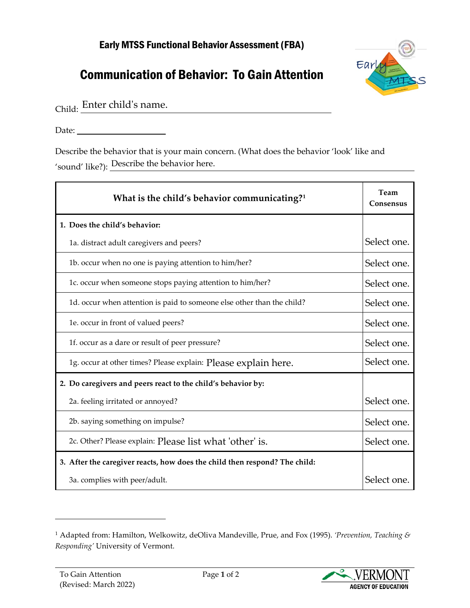## Early MTSS Functional Behavior Assessment (FBA)

## Communication of Behavior: To Gain Attention



Child: Enter child's name.

Date:

Describe the behavior that is your main concern. (What does the behavior 'look' like and 'sound' like?): Describe the behavior here.

| What is the child's behavior communicating? $1$                            | Team<br>Consensus |
|----------------------------------------------------------------------------|-------------------|
| 1. Does the child's behavior:                                              |                   |
| 1a. distract adult caregivers and peers?                                   | Select one.       |
| 1b. occur when no one is paying attention to him/her?                      | Select one.       |
| 1c. occur when someone stops paying attention to him/her?                  | Select one.       |
| 1d. occur when attention is paid to someone else other than the child?     | Select one.       |
| 1e. occur in front of valued peers?                                        | Select one.       |
| 1f. occur as a dare or result of peer pressure?                            | Select one.       |
| 1g. occur at other times? Please explain: Please explain here.             | Select one.       |
| 2. Do caregivers and peers react to the child's behavior by:               |                   |
| 2a. feeling irritated or annoyed?                                          | Select one.       |
| 2b. saying something on impulse?                                           | Select one.       |
| 2c. Other? Please explain: Please list what 'other' is.                    | Select one.       |
| 3. After the caregiver reacts, how does the child then respond? The child: |                   |
| 3a. complies with peer/adult.                                              | Select one.       |



<span id="page-0-0"></span><sup>1</sup> Adapted from: Hamilton, Welkowitz, deOliva Mandeville, Prue, and Fox (1995). *'Prevention, Teaching & Responding'* University of Vermont.